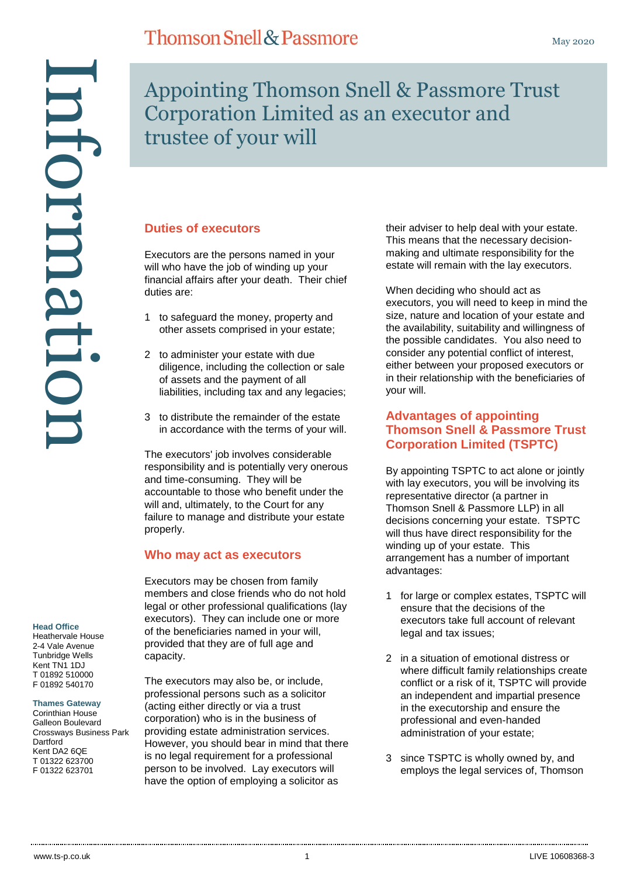#### **Head Office**

Heathervale House 2-4 Vale Avenue Tunbridge Wells Kent TN1 1DJ T 01892 510000 F 01892 540170

#### **Thames Gateway**

Corinthian House Galleon Boulevard Crossways Business Park **Dartford** Kent DA2 6QE T 01322 623700 F 01322 623701

# **Thomson Snell & Passmore**

Appointing Thomson Snell & Passmore Trust Corporation Limited as an executor and trustee of your will

#### **Duties of executors**

Executors are the persons named in your will who have the job of winding up your financial affairs after your death. Their chief duties are:

- 1 to safeguard the money, property and other assets comprised in your estate;
- 2 to administer your estate with due diligence, including the collection or sale of assets and the payment of all liabilities, including tax and any legacies;
- 3 to distribute the remainder of the estate in accordance with the terms of your will.

The executors' job involves considerable responsibility and is potentially very onerous and time-consuming. They will be accountable to those who benefit under the will and, ultimately, to the Court for any failure to manage and distribute your estate properly.

#### **Who may act as executors**

Executors may be chosen from family members and close friends who do not hold legal or other professional qualifications (lay executors). They can include one or more of the beneficiaries named in your will, provided that they are of full age and capacity.

The executors may also be, or include, professional persons such as a solicitor (acting either directly or via a trust corporation) who is in the business of providing estate administration services. However, you should bear in mind that there is no legal requirement for a professional person to be involved. Lay executors will have the option of employing a solicitor as

their adviser to help deal with your estate. This means that the necessary decisionmaking and ultimate responsibility for the estate will remain with the lay executors.

When deciding who should act as executors, you will need to keep in mind the size, nature and location of your estate and the availability, suitability and willingness of the possible candidates. You also need to consider any potential conflict of interest, either between your proposed executors or in their relationship with the beneficiaries of your will.

#### **Advantages of appointing Thomson Snell & Passmore Trust Corporation Limited (TSPTC)**

By appointing TSPTC to act alone or jointly with lay executors, you will be involving its representative director (a partner in Thomson Snell & Passmore LLP) in all decisions concerning your estate. TSPTC will thus have direct responsibility for the winding up of your estate. This arrangement has a number of important advantages:

- 1 for large or complex estates, TSPTC will ensure that the decisions of the executors take full account of relevant legal and tax issues;
- 2 in a situation of emotional distress or where difficult family relationships create conflict or a risk of it, TSPTC will provide an independent and impartial presence in the executorship and ensure the professional and even-handed administration of your estate;
- 3 since TSPTC is wholly owned by, and employs the legal services of, Thomson